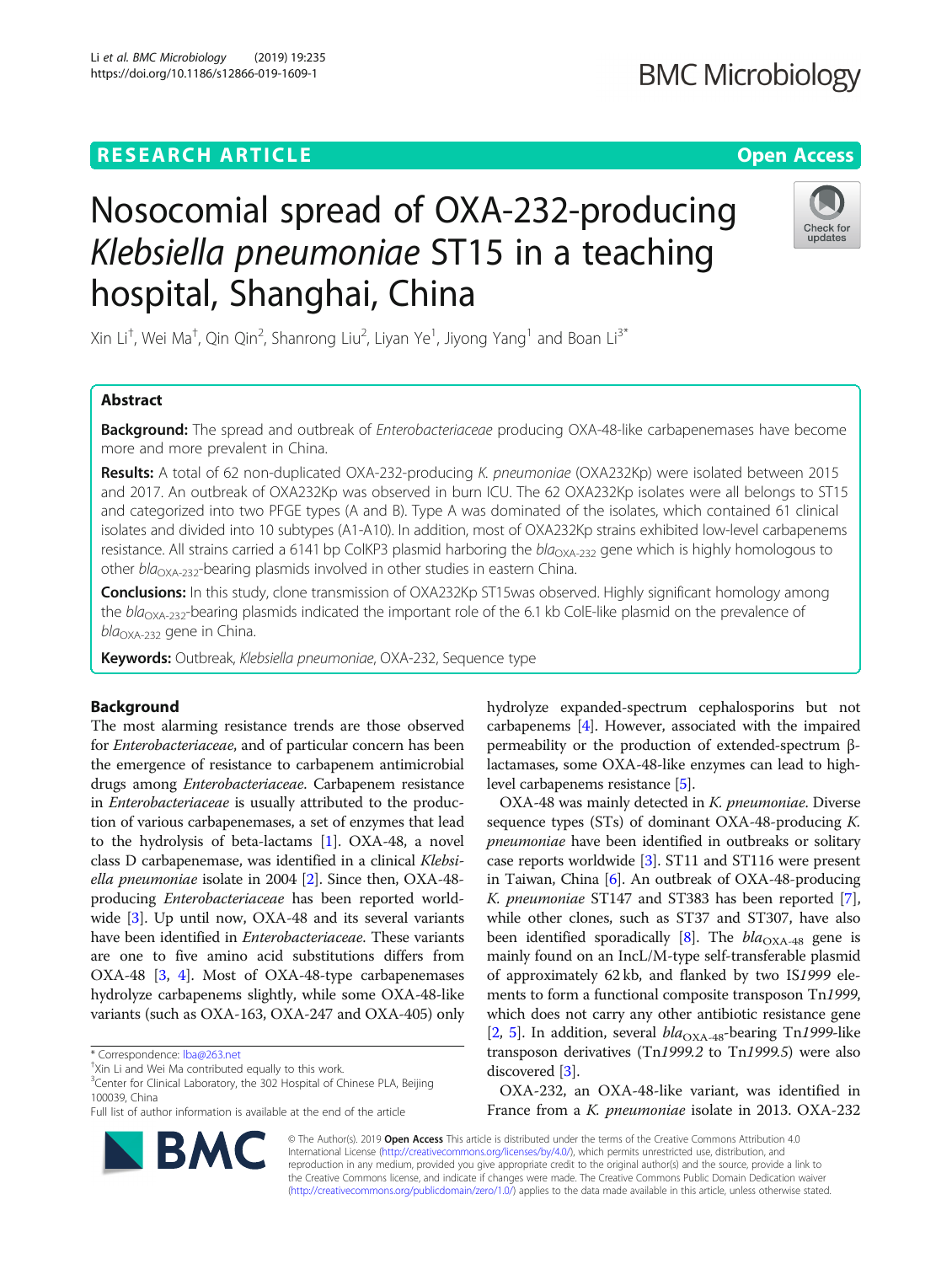# **RESEARCH ARTICLE Example 2014 CONSIDERING A RESEARCH ARTICLE**

# Nosocomial spread of OXA-232-producing Klebsiella pneumoniae ST15 in a teaching hospital, Shanghai, China

Xin Li $^\dagger$ , Wei Ma $^\dagger$ , Qin Qin $^2$ , Shanrong Liu $^2$ , Liyan Ye $^1$ , Jiyong Yang $^1$  and Boan Li $^{3^*}$ 

# Abstract

**Background:** The spread and outbreak of *Enterobacteriaceae* producing OXA-48-like carbapenemases have become more and more prevalent in China.

Results: A total of 62 non-duplicated OXA-232-producing K. pneumoniae (OXA232Kp) were isolated between 2015 and 2017. An outbreak of OXA232Kp was observed in burn ICU. The 62 OXA232Kp isolates were all belongs to ST15 and categorized into two PFGE types (A and B). Type A was dominated of the isolates, which contained 61 clinical isolates and divided into 10 subtypes (A1-A10). In addition, most of OXA232Kp strains exhibited low-level carbapenems resistance. All strains carried a 6141 bp ColKP3 plasmid harboring the  $bla_{\text{OXA-232}}$  gene which is highly homologous to other  $bla_{\text{OXA-232}}$ -bearing plasmids involved in other studies in eastern China.

Conclusions: In this study, clone transmission of OXA232Kp ST15was observed. Highly significant homology among the  $bla_{\text{OXA-232}}$ -bearing plasmids indicated the important role of the 6.1 kb ColE-like plasmid on the prevalence of bla<sub>OXA-232</sub> gene in China.

Keywords: Outbreak, Klebsiella pneumoniae, OXA-232, Sequence type

# Background

The most alarming resistance trends are those observed for Enterobacteriaceae, and of particular concern has been the emergence of resistance to carbapenem antimicrobial drugs among Enterobacteriaceae. Carbapenem resistance in Enterobacteriaceae is usually attributed to the production of various carbapenemases, a set of enzymes that lead to the hydrolysis of beta-lactams [\[1](#page-4-0)]. OXA-48, a novel class D carbapenemase, was identified in a clinical Klebsiella pneumoniae isolate in 2004  $[2]$  $[2]$ . Since then, OXA-48producing Enterobacteriaceae has been reported worldwide [\[3](#page-5-0)]. Up until now, OXA-48 and its several variants have been identified in *Enterobacteriaceae*. These variants are one to five amino acid substitutions differs from OXA-48 [\[3](#page-5-0), [4](#page-5-0)]. Most of OXA-48-type carbapenemases hydrolyze carbapenems slightly, while some OXA-48-like variants (such as OXA-163, OXA-247 and OXA-405) only

\* Correspondence: [lba@263.net](mailto:lba@263.net) †

<sup>3</sup> Center for Clinical Laboratory, the 302 Hospital of Chinese PLA, Beijing 100039, China

hydrolyze expanded-spectrum cephalosporins but not carbapenems [\[4](#page-5-0)]. However, associated with the impaired permeability or the production of extended-spectrum βlactamases, some OXA-48-like enzymes can lead to highlevel carbapenems resistance [\[5\]](#page-5-0).

OXA-48 was mainly detected in K. pneumoniae. Diverse sequence types (STs) of dominant OXA-48-producing K. pneumoniae have been identified in outbreaks or solitary case reports worldwide [\[3](#page-5-0)]. ST11 and ST116 were present in Taiwan, China [\[6](#page-5-0)]. An outbreak of OXA-48-producing K. pneumoniae ST147 and ST383 has been reported [[7](#page-5-0)], while other clones, such as ST37 and ST307, have also been identified sporadically [[8\]](#page-5-0). The  $bla_{\text{OXA-48}}$  gene is mainly found on an IncL/M-type self-transferable plasmid of approximately 62 kb, and flanked by two IS1999 elements to form a functional composite transposon Tn1999, which does not carry any other antibiotic resistance gene [[2,](#page-5-0) [5](#page-5-0)]. In addition, several  $bla_{\text{OXA-48}}$ -bearing Tn1999-like transposon derivatives (Tn1999.2 to Tn1999.5) were also discovered [[3\]](#page-5-0).

OXA-232, an OXA-48-like variant, was identified in France from a K. pneumoniae isolate in 2013. OXA-232

© The Author(s). 2019 Open Access This article is distributed under the terms of the Creative Commons Attribution 4.0 International License [\(http://creativecommons.org/licenses/by/4.0/](http://creativecommons.org/licenses/by/4.0/)), which permits unrestricted use, distribution, and reproduction in any medium, provided you give appropriate credit to the original author(s) and the source, provide a link to the Creative Commons license, and indicate if changes were made. The Creative Commons Public Domain Dedication waiver [\(http://creativecommons.org/publicdomain/zero/1.0/](http://creativecommons.org/publicdomain/zero/1.0/)) applies to the data made available in this article, unless otherwise stated.





<sup>&</sup>lt;sup>†</sup>Xin Li and Wei Ma contributed equally to this work

Full list of author information is available at the end of the article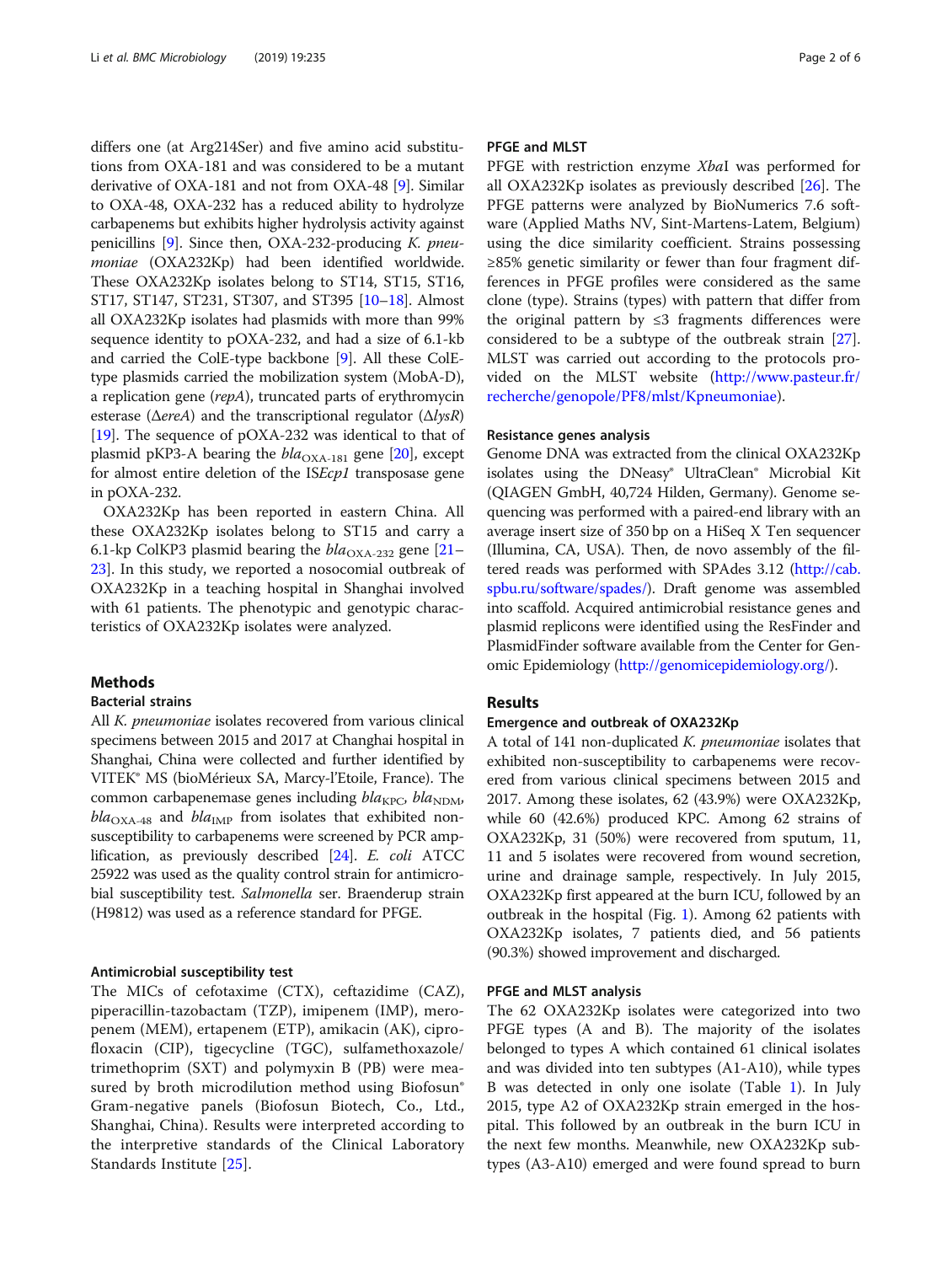differs one (at Arg214Ser) and five amino acid substitutions from OXA-181 and was considered to be a mutant derivative of OXA-181 and not from OXA-48 [\[9\]](#page-5-0). Similar to OXA-48, OXA-232 has a reduced ability to hydrolyze carbapenems but exhibits higher hydrolysis activity against penicillins  $[9]$  $[9]$ . Since then, OXA-232-producing K. pneumoniae (OXA232Kp) had been identified worldwide. These OXA232Kp isolates belong to ST14, ST15, ST16, ST17, ST147, ST231, ST307, and ST395 [[10](#page-5-0)–[18\]](#page-5-0). Almost all OXA232Kp isolates had plasmids with more than 99% sequence identity to pOXA-232, and had a size of 6.1-kb and carried the ColE-type backbone [\[9\]](#page-5-0). All these ColEtype plasmids carried the mobilization system (MobA-D), a replication gene (repA), truncated parts of erythromycin esterase ( $\triangle$ ereA) and the transcriptional regulator ( $\triangle$ lysR) [[19](#page-5-0)]. The sequence of pOXA-232 was identical to that of plasmid pKP3-A bearing the  $bla_{\text{OX}_{A-181}}$  gene [\[20](#page-5-0)], except for almost entire deletion of the ISEcp1 transposase gene in pOXA-232.

OXA232Kp has been reported in eastern China. All these OXA232Kp isolates belong to ST15 and carry a 6.1-kp ColKP3 plasmid bearing the  $bla_{\text{OX}A-232}$  gene [[21](#page-5-0)– [23\]](#page-5-0). In this study, we reported a nosocomial outbreak of OXA232Kp in a teaching hospital in Shanghai involved with 61 patients. The phenotypic and genotypic characteristics of OXA232Kp isolates were analyzed.

# Methods

## Bacterial strains

All K. pneumoniae isolates recovered from various clinical specimens between 2015 and 2017 at Changhai hospital in Shanghai, China were collected and further identified by VITEK® MS (bioMérieux SA, Marcy-l'Etoile, France). The common carbapenemase genes including  $bla_{\text{KPC}}$ ,  $bla_{\text{NDM}}$ ,  $bla_{\text{OXA-48}}$  and  $bla_{\text{IMP}}$  from isolates that exhibited nonsusceptibility to carbapenems were screened by PCR amplification, as previously described [[24](#page-5-0)]. E. coli ATCC 25922 was used as the quality control strain for antimicrobial susceptibility test. Salmonella ser. Braenderup strain (H9812) was used as a reference standard for PFGE.

#### Antimicrobial susceptibility test

The MICs of cefotaxime (CTX), ceftazidime (CAZ), piperacillin-tazobactam (TZP), imipenem (IMP), meropenem (MEM), ertapenem (ETP), amikacin (AK), ciprofloxacin (CIP), tigecycline (TGC), sulfamethoxazole/ trimethoprim (SXT) and polymyxin B (PB) were measured by broth microdilution method using Biofosun® Gram-negative panels (Biofosun Biotech, Co., Ltd., Shanghai, China). Results were interpreted according to the interpretive standards of the Clinical Laboratory Standards Institute [[25\]](#page-5-0).

# PFGE and MLST

PFGE with restriction enzyme XbaI was performed for all OXA232Kp isolates as previously described [[26\]](#page-5-0). The PFGE patterns were analyzed by BioNumerics 7.6 software (Applied Maths NV, Sint-Martens-Latem, Belgium) using the dice similarity coefficient. Strains possessing ≥85% genetic similarity or fewer than four fragment differences in PFGE profiles were considered as the same clone (type). Strains (types) with pattern that differ from the original pattern by ≤3 fragments differences were considered to be a subtype of the outbreak strain [\[27](#page-5-0)]. MLST was carried out according to the protocols provided on the MLST website [\(http://www.pasteur.fr/](http://www.pasteur.fr/recherche/genopole/PF8/mlst/Kpneumoniae) [recherche/genopole/PF8/mlst/Kpneumoniae](http://www.pasteur.fr/recherche/genopole/PF8/mlst/Kpneumoniae)).

# Resistance genes analysis

Genome DNA was extracted from the clinical OXA232Kp isolates using the DNeasy® UltraClean® Microbial Kit (QIAGEN GmbH, 40,724 Hilden, Germany). Genome sequencing was performed with a paired-end library with an average insert size of 350 bp on a HiSeq X Ten sequencer (Illumina, CA, USA). Then, de novo assembly of the filtered reads was performed with SPAdes 3.12 [\(http://cab.](http://cab.spbu.ru/software/spades/) [spbu.ru/software/spades/\)](http://cab.spbu.ru/software/spades/). Draft genome was assembled into scaffold. Acquired antimicrobial resistance genes and plasmid replicons were identified using the ResFinder and PlasmidFinder software available from the Center for Genomic Epidemiology [\(http://genomicepidemiology.org/](http://genomicepidemiology.org/)).

## Results

# Emergence and outbreak of OXA232Kp

A total of 141 non-duplicated K. pneumoniae isolates that exhibited non-susceptibility to carbapenems were recovered from various clinical specimens between 2015 and 2017. Among these isolates, 62 (43.9%) were OXA232Kp, while 60 (42.6%) produced KPC. Among 62 strains of OXA232Kp, 31 (50%) were recovered from sputum, 11, 11 and 5 isolates were recovered from wound secretion, urine and drainage sample, respectively. In July 2015, OXA232Kp first appeared at the burn ICU, followed by an outbreak in the hospital (Fig. [1](#page-2-0)). Among 62 patients with OXA232Kp isolates, 7 patients died, and 56 patients (90.3%) showed improvement and discharged.

#### PFGE and MLST analysis

The 62 OXA232Kp isolates were categorized into two PFGE types (A and B). The majority of the isolates belonged to types A which contained 61 clinical isolates and was divided into ten subtypes (A1-A10), while types B was detected in only one isolate (Table [1\)](#page-3-0). In July 2015, type A2 of OXA232Kp strain emerged in the hospital. This followed by an outbreak in the burn ICU in the next few months. Meanwhile, new OXA232Kp subtypes (A3-A10) emerged and were found spread to burn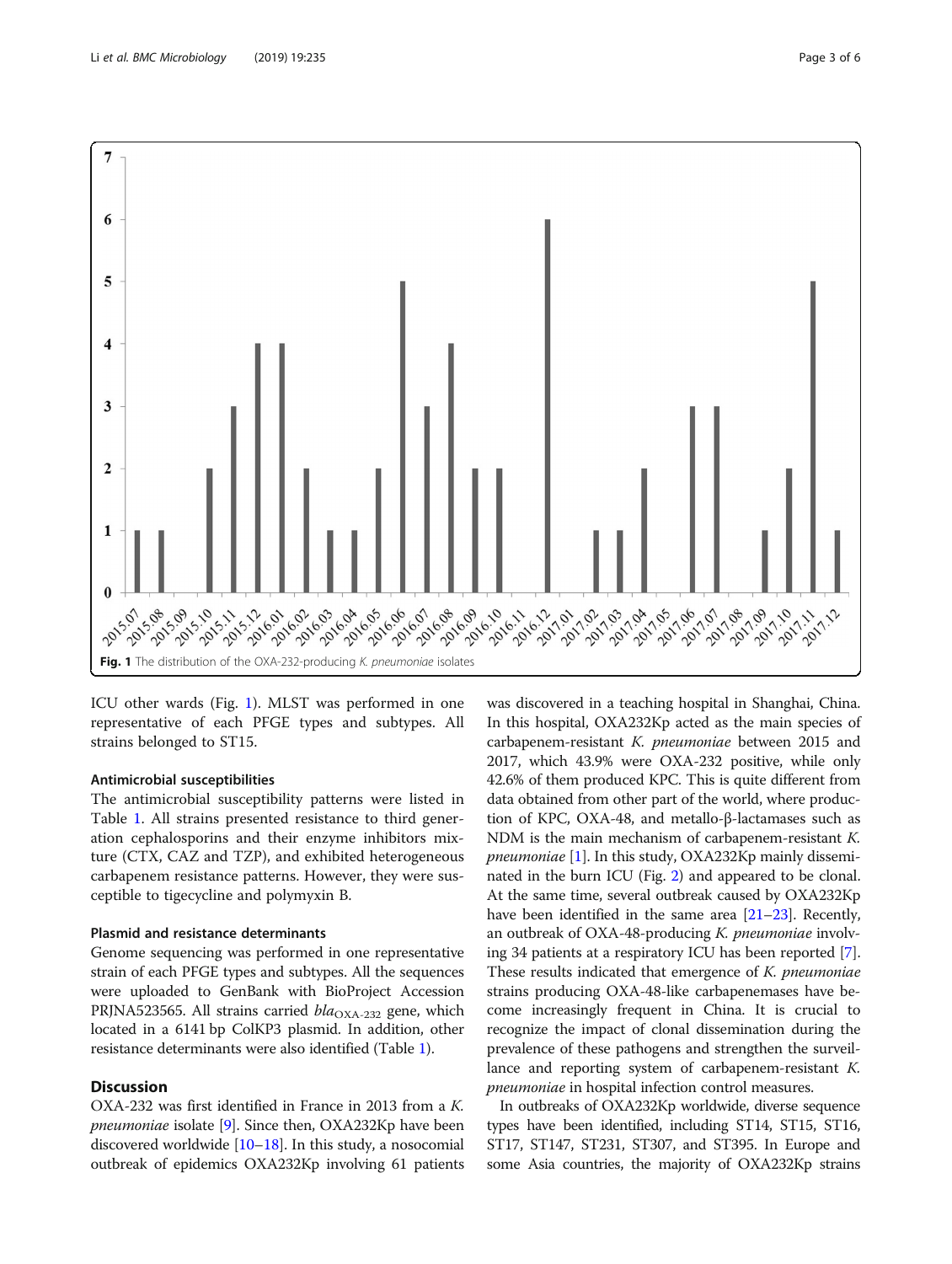<span id="page-2-0"></span>

ICU other wards (Fig. 1). MLST was performed in one representative of each PFGE types and subtypes. All strains belonged to ST15.

## Antimicrobial susceptibilities

The antimicrobial susceptibility patterns were listed in Table [1](#page-3-0). All strains presented resistance to third generation cephalosporins and their enzyme inhibitors mixture (CTX, CAZ and TZP), and exhibited heterogeneous carbapenem resistance patterns. However, they were susceptible to tigecycline and polymyxin B.

# Plasmid and resistance determinants

Genome sequencing was performed in one representative strain of each PFGE types and subtypes. All the sequences were uploaded to GenBank with BioProject Accession PRJNA523565. All strains carried  $bla_{\text{OXA-232}}$  gene, which located in a 6141 bp ColKP3 plasmid. In addition, other resistance determinants were also identified (Table [1\)](#page-3-0).

# **Discussion**

OXA-232 was first identified in France in 2013 from a K. pneumoniae isolate [\[9\]](#page-5-0). Since then, OXA232Kp have been discovered worldwide  $[10-18]$  $[10-18]$  $[10-18]$ . In this study, a nosocomial outbreak of epidemics OXA232Kp involving 61 patients

was discovered in a teaching hospital in Shanghai, China. In this hospital, OXA232Kp acted as the main species of carbapenem-resistant K. pneumoniae between 2015 and 2017, which 43.9% were OXA-232 positive, while only 42.6% of them produced KPC. This is quite different from data obtained from other part of the world, where production of KPC, OXA-48, and metallo-β-lactamases such as NDM is the main mechanism of carbapenem-resistant K. pneumoniae [\[1](#page-4-0)]. In this study, OXA232Kp mainly disseminated in the burn ICU (Fig. [2\)](#page-3-0) and appeared to be clonal. At the same time, several outbreak caused by OXA232Kp have been identified in the same area [\[21](#page-5-0)–[23](#page-5-0)]. Recently, an outbreak of OXA-48-producing K. pneumoniae involving 34 patients at a respiratory ICU has been reported [[7](#page-5-0)]. These results indicated that emergence of K. *pneumoniae* strains producing OXA-48-like carbapenemases have become increasingly frequent in China. It is crucial to recognize the impact of clonal dissemination during the prevalence of these pathogens and strengthen the surveillance and reporting system of carbapenem-resistant K. pneumoniae in hospital infection control measures.

In outbreaks of OXA232Kp worldwide, diverse sequence types have been identified, including ST14, ST15, ST16, ST17, ST147, ST231, ST307, and ST395. In Europe and some Asia countries, the majority of OXA232Kp strains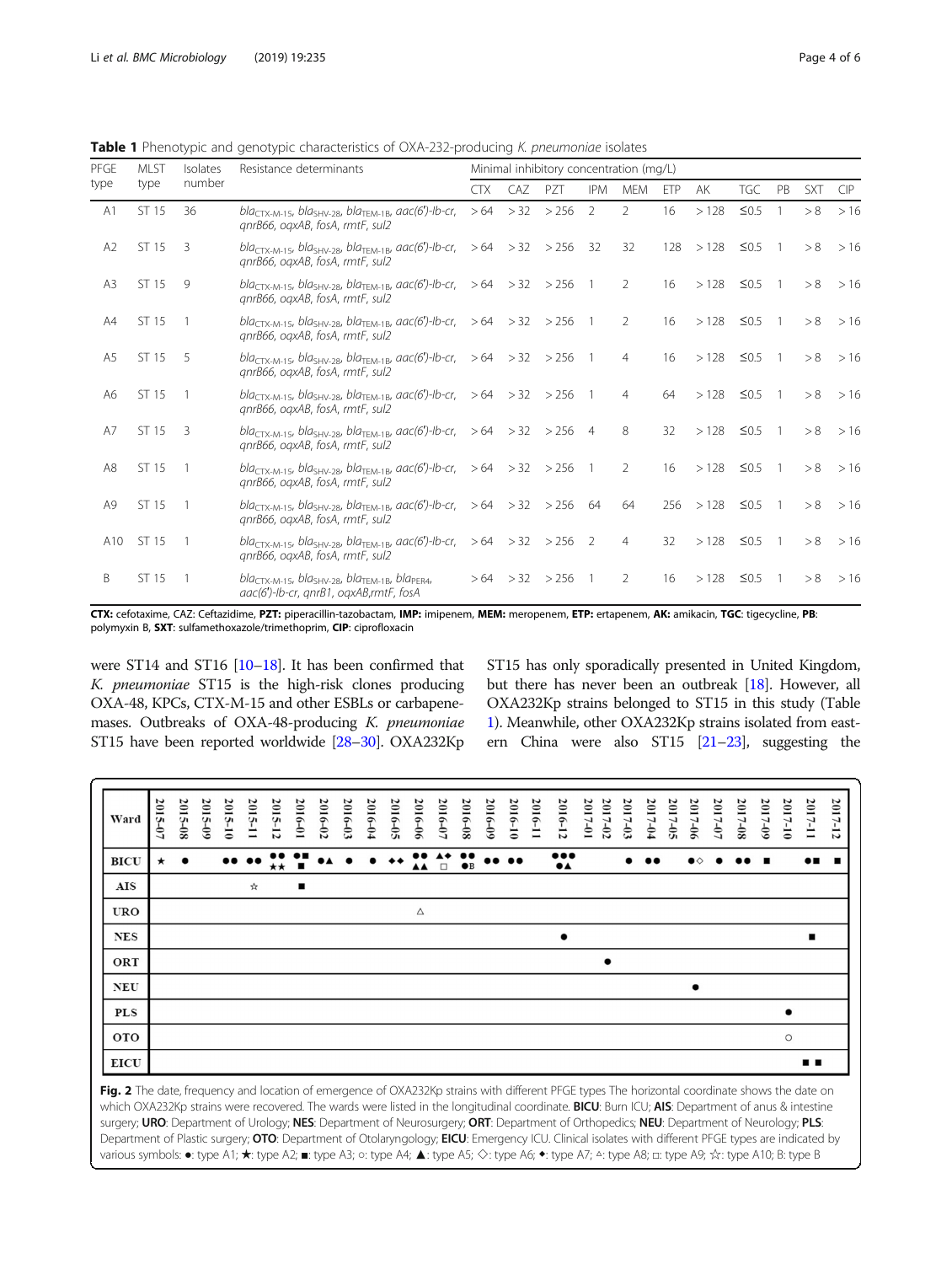|             |             |                          |                                                                                                                                                   | <b>Table 1</b> Phenotypic and genotypic characteristics of UXA-232-producing K. <i>pneumoniae</i> isolates<br>Minimal inhibitory concentration (mg/L) |     |                    |                |                |     |                      |            |                |            |            |  |  |
|-------------|-------------|--------------------------|---------------------------------------------------------------------------------------------------------------------------------------------------|-------------------------------------------------------------------------------------------------------------------------------------------------------|-----|--------------------|----------------|----------------|-----|----------------------|------------|----------------|------------|------------|--|--|
| <b>PFGE</b> | <b>MLST</b> | Isolates<br>number       | Resistance determinants                                                                                                                           |                                                                                                                                                       |     |                    |                |                |     |                      |            |                |            |            |  |  |
| type        | type        |                          |                                                                                                                                                   | <b>CTX</b>                                                                                                                                            | CAZ | PZT                | <b>IPM</b>     | <b>MEM</b>     | ETP | AK                   | <b>TGC</b> | PB             | <b>SXT</b> | <b>CIP</b> |  |  |
| A1          | ST 15       | 36                       | $bla_{\text{CTX-M-15}}$ , bla <sub>SHV-28</sub> , bla <sub>TEM-1B</sub> , aac(6')-lb-cr, > 64 > 32 > 256<br>anrB66, oaxAB, fosA, rmtF, sul2       |                                                                                                                                                       |     |                    | $\overline{2}$ | $\mathcal{L}$  | 16  | >128                 | $\leq 0.5$ |                | > 8        | >16        |  |  |
| A2          | ST 15       | 3                        | bla <sub>CTX-M-15</sub> , bla <sub>SHV-28</sub> , bla <sub>TEM-1B</sub> , aac(6')-lb-cr, $>64$ > 32 > 256<br>gnrB66, ogxAB, fosA, rmtF, sul2      |                                                                                                                                                       |     |                    | - 32           | 32             | 128 | >128                 | $\leq$ 0.5 | $\overline{1}$ | > 8        | >16        |  |  |
| A3          | ST 15       | 9                        | bla <sub>CTX-M-15</sub> , bla <sub>SHV-28</sub> , bla <sub>TEM-1B</sub> , aac(6')-lb-cr, $>64$ > 32 > 256 1<br>anrB66, oaxAB, fosA, rmtF, sul2    |                                                                                                                                                       |     |                    |                | 2              | 16  | >128                 | $\leq$ 0.5 | $\overline{1}$ | > 8        | >16        |  |  |
| A4          | ST 15       |                          | bla <sub>CTX-M-15</sub> , bla <sub>SHV-28</sub> , bla <sub>TFM-1B</sub> , aac(6')-lb-cr, $>64$ > 32 > 256 1<br>anrB66, oaxAB, fosA, rmtF, sul2    |                                                                                                                                                       |     |                    |                | 2              | 16  | >128                 | $\leq$ 0.5 | $\overline{1}$ | > 8        | >16        |  |  |
| A5          | ST 15       | 5                        | bla <sub>CTX-M-15</sub> , bla <sub>SHV-28</sub> , bla <sub>TEM-1B</sub> , aac(6')-lb-cr, $>64$ > 32 > 256 1<br>anrB66, oaxAB, fosA, rmtF, sul2    |                                                                                                                                                       |     |                    |                | $\overline{4}$ | 16  | >128                 | $\leq$ 0.5 | $\overline{1}$ | > 8        | >16        |  |  |
| A6          | ST 15       |                          | bla <sub>CTX-M-15</sub> , bla <sub>SHV-28</sub> , bla <sub>TEM-1B</sub> , aac(6')-lb-cr, $>64$ > 32 > 256 1<br>gnrB66, ogxAB, fosA, rmtF, sul2    |                                                                                                                                                       |     |                    |                | $\overline{4}$ | 64  | >128                 | $\leq$ 0.5 | $\overline{1}$ | > 8        | >16        |  |  |
| A7          | ST 15       | $\overline{\phantom{a}}$ | bla <sub>CTX-M-15</sub> , bla <sub>SHV-28</sub> , bla <sub>TFM-1B</sub> , aac(6')-lb-cr, $>64$ > 32 > 256 4<br>anrB66, oaxAB, fosA, rmtF, sul2    |                                                                                                                                                       |     |                    |                | 8              | 32  | >128                 | $\leq$ 0.5 | $\overline{1}$ | > 8        | >16        |  |  |
| A8          | ST 15       |                          | bla <sub>CTX-M-15</sub> , bla <sub>SHV-28</sub> , bla <sub>TEM-1B</sub> , aac(6')-lb-cr, $>64$ > 32 > 256 1<br>anrB66, oaxAB, fosA, rmtF, sul2    |                                                                                                                                                       |     |                    |                | 2              | 16  | > 128 ≤ 0.5          |            | $\overline{1}$ |            | $>8$ > 16  |  |  |
| A9          | ST 15       |                          | $bla_{\text{CTX-M-15}}$ , bla <sub>sHV-28</sub> , bla <sub>TFM-1B</sub> , aac(6')-lb-cr, $>64$ $>32$ $>256$ 64<br>anrB66, oaxAB, fosA, rmtF, sul2 |                                                                                                                                                       |     |                    |                | 64             |     | $256 > 128 \leq 0.5$ |            | $\overline{1}$ |            | $>8$ > 16  |  |  |
| A10         | ST 15       |                          | bla <sub>CTX-M-15</sub> , bla <sub>SHV-28</sub> , bla <sub>TFM-1B</sub> , aac(6')-lb-cr, $>64$ > 32 > 256 2<br>gnrB66, ogxAB, fosA, rmtF, sul2    |                                                                                                                                                       |     |                    |                | $\overline{4}$ | 32  | $>128$ $\leq$ 0.5 1  |            |                | > 8        | >16        |  |  |
| B           | ST 15       |                          | $blaCTX-M-15$ , bla <sub>SHV-28</sub> , bla <sub>TEM-1B</sub> , bla <sub>PER4</sub> ,<br>aac(6')-lb-cr, gnrB1, ogxAB,rmtF, fosA                   |                                                                                                                                                       |     | $>64$ $>32$ $>256$ | $\overline{1}$ | 2              | 16  | >128                 | $\leq$ 0.5 | $\overline{1}$ | > 8        | >16        |  |  |

<span id="page-3-0"></span>Table 1 Phenotypic and genotypic characteristics of OXA-232-producing K. pneumoniae isolates

CTX: cefotaxime, CAZ: Ceftazidime, PZT: piperacillin-tazobactam, IMP: imipenem, MEM: meropenem, ETP: ertapenem, AK: amikacin, TGC: tigecycline, PB: polymyxin B, SXT: sulfamethoxazole/trimethoprim, CIP: ciprofloxacin

were ST14 and ST16 [\[10](#page-5-0)–[18\]](#page-5-0). It has been confirmed that K. pneumoniae ST15 is the high-risk clones producing OXA-48, KPCs, CTX-M-15 and other ESBLs or carbapenemases. Outbreaks of OXA-48-producing K. pneumoniae ST15 have been reported worldwide [[28](#page-5-0)–[30](#page-5-0)]. OXA232Kp ST15 has only sporadically presented in United Kingdom, but there has never been an outbreak [\[18](#page-5-0)]. However, all OXA232Kp strains belonged to ST15 in this study (Table 1). Meanwhile, other OXA232Kp strains isolated from eastern China were also ST15 [\[21](#page-5-0)–[23](#page-5-0)], suggesting the

| Ward        | 2015-07 | 2015-08   | 2015-09 | 2015-10          | 2015-11          | 2015-12                          | 2016-01        | 2016-02                 | 2016-03   | 2016-04 | 2016-05            | 2016-06                                             | 2016-07                                 | 2016-08                         | 2016-09            | 2016-10          | 2016-11 | 2016-12                                            | 2017-01 | 2017-02   | 2017-03   | 2017-04          | 2017-05 | 2017-06            | 2017-07   | 2017-08          | 2017-09        | 2017-10   | 2017-11        | 2017-12 |
|-------------|---------|-----------|---------|------------------|------------------|----------------------------------|----------------|-------------------------|-----------|---------|--------------------|-----------------------------------------------------|-----------------------------------------|---------------------------------|--------------------|------------------|---------|----------------------------------------------------|---------|-----------|-----------|------------------|---------|--------------------|-----------|------------------|----------------|-----------|----------------|---------|
| <b>BICU</b> | $\star$ | $\bullet$ |         | $\bullet\bullet$ | $\bullet\bullet$ | $\bullet\bullet$<br>$\star\star$ | ÷              | $\bullet\blacktriangle$ | $\bullet$ |         | $\bullet\,\bullet$ | $\bullet\bullet$<br>$\blacktriangle \blacktriangle$ | $\blacktriangle\blacklozenge$<br>$\Box$ | $\bullet\bullet$<br>$\bullet$ B | $\bullet\,\bullet$ | $\bullet\bullet$ |         | $\bullet\bullet\bullet$<br>$\bullet\blacktriangle$ |         |           | $\bullet$ | $\bullet\bullet$ |         | $\bullet \diamond$ | $\bullet$ | $\bullet\bullet$ | $\blacksquare$ |           | $\bullet$ .    |         |
| AIS         |         |           |         |                  | ☆                |                                  | $\blacksquare$ |                         |           |         |                    |                                                     |                                         |                                 |                    |                  |         |                                                    |         |           |           |                  |         |                    |           |                  |                |           |                |         |
| <b>URO</b>  |         |           |         |                  |                  |                                  |                |                         |           |         |                    | $\Delta$                                            |                                         |                                 |                    |                  |         |                                                    |         |           |           |                  |         |                    |           |                  |                |           |                |         |
| <b>NES</b>  |         |           |         |                  |                  |                                  |                |                         |           |         |                    |                                                     |                                         |                                 |                    |                  |         | $\bullet$                                          |         |           |           |                  |         |                    |           |                  |                |           | $\blacksquare$ |         |
| ORT         |         |           |         |                  |                  |                                  |                |                         |           |         |                    |                                                     |                                         |                                 |                    |                  |         |                                                    |         | $\bullet$ |           |                  |         |                    |           |                  |                |           |                |         |
| <b>NEU</b>  |         |           |         |                  |                  |                                  |                |                         |           |         |                    |                                                     |                                         |                                 |                    |                  |         |                                                    |         |           |           |                  |         | $\bullet$          |           |                  |                |           |                |         |
| <b>PLS</b>  |         |           |         |                  |                  |                                  |                |                         |           |         |                    |                                                     |                                         |                                 |                    |                  |         |                                                    |         |           |           |                  |         |                    |           |                  |                | $\bullet$ |                |         |
| oto         |         |           |         |                  |                  |                                  |                |                         |           |         |                    |                                                     |                                         |                                 |                    |                  |         |                                                    |         |           |           |                  |         |                    |           |                  |                | $\circ$   |                |         |
| EICU        |         |           |         |                  |                  |                                  |                |                         |           |         |                    |                                                     |                                         |                                 |                    |                  |         |                                                    |         |           |           |                  |         |                    |           |                  |                |           | . .            |         |

Fig. 2 The date, frequency and location of emergence of OXA232Kp strains with different PFGE types The horizontal coordinate shows the date on which OXA232Kp strains were recovered. The wards were listed in the longitudinal coordinate. BICU: Burn ICU; AIS: Department of anus & intestine surgery; URO: Department of Urology; NES: Department of Neurosurgery; ORT: Department of Orthopedics; NEU: Department of Neurology; PLS: Department of Plastic surgery; OTO: Department of Otolaryngology; EICU: Emergency ICU. Clinical isolates with different PFGE types are indicated by various symbols: •: type A1; \*: type A2; ■: type A3; o: type A4; ▲: type A5; ◇: type A6; ◆: type A7; △: type A8; □: type A9; ☆: type A10; B: type B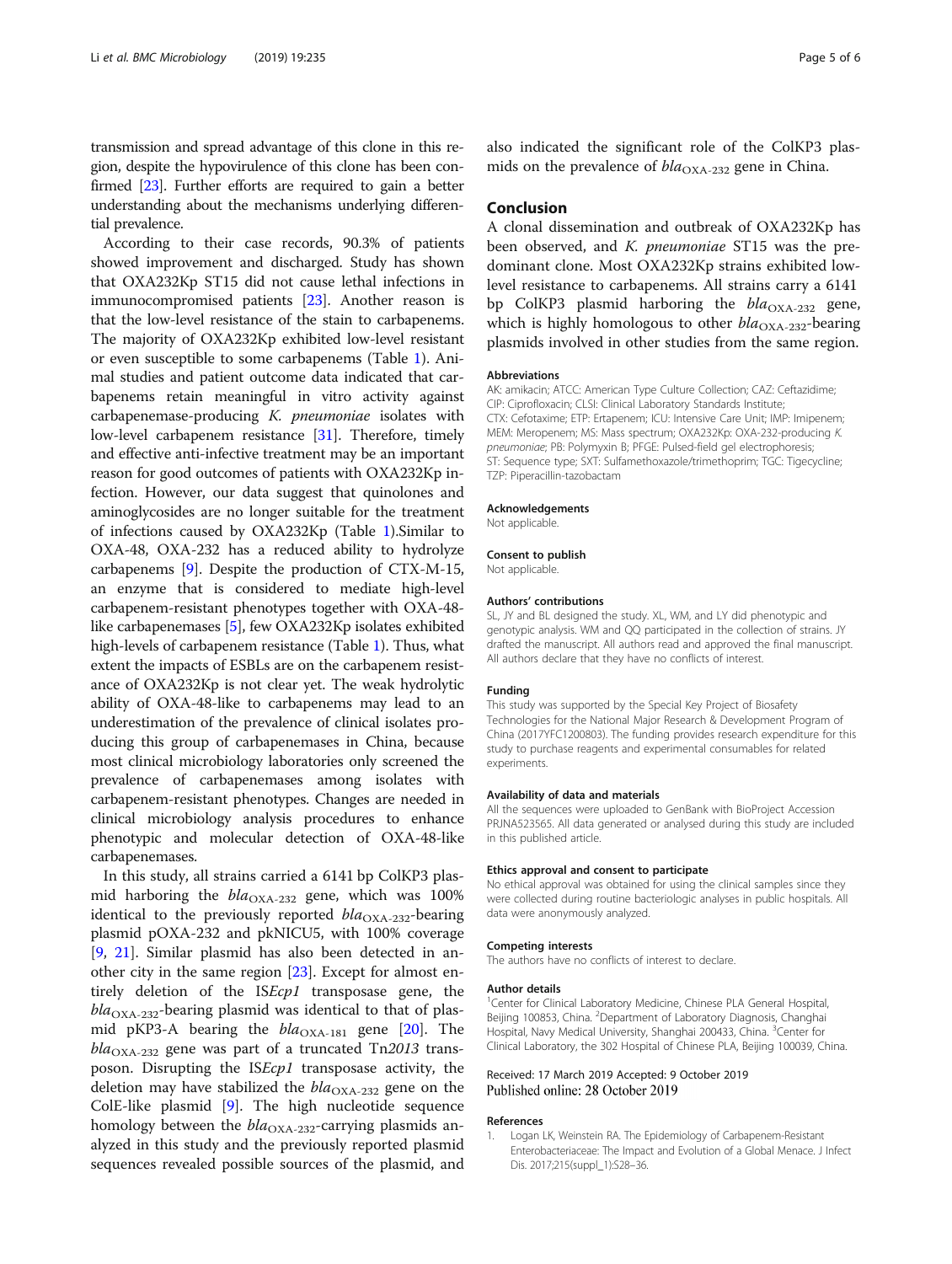<span id="page-4-0"></span>transmission and spread advantage of this clone in this region, despite the hypovirulence of this clone has been confirmed [\[23](#page-5-0)]. Further efforts are required to gain a better understanding about the mechanisms underlying differential prevalence.

According to their case records, 90.3% of patients showed improvement and discharged. Study has shown that OXA232Kp ST15 did not cause lethal infections in immunocompromised patients [\[23\]](#page-5-0). Another reason is that the low-level resistance of the stain to carbapenems. The majority of OXA232Kp exhibited low-level resistant or even susceptible to some carbapenems (Table [1\)](#page-3-0). Animal studies and patient outcome data indicated that carbapenems retain meaningful in vitro activity against carbapenemase-producing K. pneumoniae isolates with low-level carbapenem resistance [[31\]](#page-5-0). Therefore, timely and effective anti-infective treatment may be an important reason for good outcomes of patients with OXA232Kp infection. However, our data suggest that quinolones and aminoglycosides are no longer suitable for the treatment of infections caused by OXA232Kp (Table [1](#page-3-0)).Similar to OXA-48, OXA-232 has a reduced ability to hydrolyze carbapenems [[9](#page-5-0)]. Despite the production of CTX-M-15, an enzyme that is considered to mediate high-level carbapenem-resistant phenotypes together with OXA-48 like carbapenemases [[5](#page-5-0)], few OXA232Kp isolates exhibited high-levels of carbapenem resistance (Table [1](#page-3-0)). Thus, what extent the impacts of ESBLs are on the carbapenem resistance of OXA232Kp is not clear yet. The weak hydrolytic ability of OXA-48-like to carbapenems may lead to an underestimation of the prevalence of clinical isolates producing this group of carbapenemases in China, because most clinical microbiology laboratories only screened the prevalence of carbapenemases among isolates with carbapenem-resistant phenotypes. Changes are needed in clinical microbiology analysis procedures to enhance phenotypic and molecular detection of OXA-48-like carbapenemases.

In this study, all strains carried a 6141 bp ColKP3 plasmid harboring the  $bla_{\rm OXA\text{-}232}$  gene, which was 100% identical to the previously reported  $bla_{\text{OXA-232}}$ -bearing plasmid pOXA-232 and pkNICU5, with 100% coverage [[9,](#page-5-0) [21\]](#page-5-0). Similar plasmid has also been detected in another city in the same region [[23\]](#page-5-0). Except for almost entirely deletion of the ISEcp1 transposase gene, the  $bla_{\text{OXA-232}}$ -bearing plasmid was identical to that of plasmid pKP3-A bearing the  $bla_{\text{OXA-181}}$  gene [[20](#page-5-0)]. The  $bla_{\text{OXA-232}}$  gene was part of a truncated Tn2013 transposon. Disrupting the ISEcp1 transposase activity, the deletion may have stabilized the  $bla_{\text{OXA-232}}$  gene on the ColE-like plasmid [[9\]](#page-5-0). The high nucleotide sequence homology between the  $bla_{\text{OXA-232}}$ -carrying plasmids analyzed in this study and the previously reported plasmid sequences revealed possible sources of the plasmid, and also indicated the significant role of the ColKP3 plasmids on the prevalence of  $bla_{\text{OX}_{A-232}}$  gene in China.

# Conclusion

A clonal dissemination and outbreak of OXA232Kp has been observed, and *K. pneumoniae* ST15 was the predominant clone. Most OXA232Kp strains exhibited lowlevel resistance to carbapenems. All strains carry a 6141 bp ColKP3 plasmid harboring the  $bla_{\text{OXA-232}}$  gene, which is highly homologous to other  $bla_{\text{OXA-232}}$ -bearing plasmids involved in other studies from the same region.

#### Abbreviations

AK: amikacin; ATCC: American Type Culture Collection; CAZ: Ceftazidime; CIP: Ciprofloxacin; CLSI: Clinical Laboratory Standards Institute; CTX: Cefotaxime; ETP: Ertapenem; ICU: Intensive Care Unit; IMP: Imipenem; MEM: Meropenem; MS: Mass spectrum; OXA232Kp: OXA-232-producing K. pneumoniae; PB: Polymyxin B; PFGE: Pulsed-field gel electrophoresis; ST: Sequence type; SXT: Sulfamethoxazole/trimethoprim; TGC: Tigecycline; TZP: Piperacillin-tazobactam

#### Acknowledgements

Not applicable.

# Consent to publish

Not applicable.

#### Authors' contributions

SL, JY and BL designed the study. XL, WM, and LY did phenotypic and genotypic analysis. WM and QQ participated in the collection of strains. JY drafted the manuscript. All authors read and approved the final manuscript. All authors declare that they have no conflicts of interest.

#### Funding

This study was supported by the Special Key Project of Biosafety Technologies for the National Major Research & Development Program of China (2017YFC1200803). The funding provides research expenditure for this study to purchase reagents and experimental consumables for related experiments.

#### Availability of data and materials

All the sequences were uploaded to GenBank with BioProject Accession PRJNA523565. All data generated or analysed during this study are included in this published article.

#### Ethics approval and consent to participate

No ethical approval was obtained for using the clinical samples since they were collected during routine bacteriologic analyses in public hospitals. All data were anonymously analyzed.

#### Competing interests

The authors have no conflicts of interest to declare.

#### Author details

<sup>1</sup> Center for Clinical Laboratory Medicine, Chinese PLA General Hospital Beijing 100853, China. <sup>2</sup>Department of Laboratory Diagnosis, Changhai Hospital, Navy Medical University, Shanghai 200433, China. <sup>3</sup>Center for Clinical Laboratory, the 302 Hospital of Chinese PLA, Beijing 100039, China.

#### Received: 17 March 2019 Accepted: 9 October 2019 Published online: 28 October 2019

#### References

1. Logan LK, Weinstein RA. The Epidemiology of Carbapenem-Resistant Enterobacteriaceae: The Impact and Evolution of a Global Menace. J Infect Dis. 2017;215(suppl\_1):S28–36.